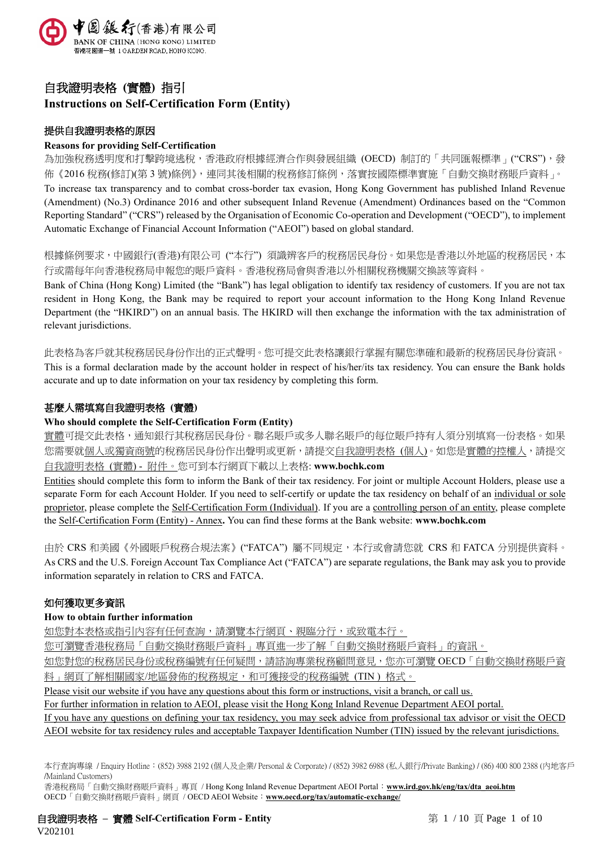

# 自我證明表格 **(**實體**)** 指引 **Instructions on Self-Certification Form (Entity)**

# 提供自我證明表格的原因

# **Reasons for providing Self-Certification**

為加強稅務透明度和打擊跨境逃稅,香港政府根據經濟合作與發展組織 (OECD) 制訂的「共同匯報標準」("CRS"),發 佈《2016 稅務(修訂)(第 3 號)條例》,連同其後相關的稅務修訂條例,落實按國際標準實施「自動交換財務賬戶資料」。 To increase tax transparency and to combat cross-border tax evasion, Hong Kong Government has published Inland Revenue (Amendment) (No.3) Ordinance 2016 and other subsequent Inland Revenue (Amendment) Ordinances based on the "Common Reporting Standard" ("CRS") released by the Organisation of Economic Co-operation and Development ("OECD"), to implement Automatic Exchange of Financial Account Information ("AEOI") based on global standard.

根據條例要求,中國銀行(香港)有限公司 ("本行") 須識辨客戶的稅務居民身份。如果您是香港以外地區的稅務居民,本 行或需每年向香港稅務局申報您的賬戶資料。香港稅務局會與香港以外相關稅務機關交換該等資料。

Bank of China (Hong Kong) Limited (the "Bank") has legal obligation to identify tax residency of customers. If you are not tax resident in Hong Kong, the Bank may be required to report your account information to the Hong Kong Inland Revenue Department (the "HKIRD") on an annual basis. The HKIRD will then exchange the information with the tax administration of relevant jurisdictions.

此表格為客戶就其稅務居民身份作出的正式聲明。您可提交此表格讓銀行掌握有關您準確和最新的稅務居民身份資訊。

This is a formal declaration made by the account holder in respect of his/her/its tax residency. You can ensure the Bank holds accurate and up to date information on your tax residency by completing this form.

# 甚麼人需填寫自我證明表格 **(**實體**)**

# **Who should complete the Self-Certification Form (Entity)**

實體可提交此表格,通知銀行其稅務居民身份。聯名賬戶或多人聯名賬戶的每位賬戶持有人須分別填寫一份表格。如果 您需要就個人或獨資商號的稅務居民身份作出聲明或更新,請提交自我證明表格 (個人)。如您是實體的控權人,請提交 自我證明表格 (實體) - 附件。您可到本行網頁下載以上表格: **www.bochk.com**

Entities should complete this form to inform the Bank of their tax residency. For joint or multiple Account Holders, please use a separate Form for each Account Holder. If you need to self-certify or update the tax residency on behalf of an individual or sole proprietor, please complete the Self-Certification Form (Individual). If you are a controlling person of an entity, please complete the Self-Certification Form (Entity) - Annex**.** You can find these forms at the Bank website: **www.bochk.com**

由於 CRS 和美國《外國賬戶稅務合規法案》("FATCA") 屬不同規定,本行或會請您就 CRS 和 FATCA 分別提供資料。 As CRS and the U.S. Foreign Account Tax Compliance Act ("FATCA") are separate regulations, the Bank may ask you to provide information separately in relation to CRS and FATCA.

# 如何獲取更多資訊

# **How to obtain further information**

如您對本表格或指引內容有任何查詢,請瀏覽本行網頁、親臨分行,或致電本行。

您可瀏覽香港稅務局「自動交換財務賬戶資料」專頁進一步了解「自動交換財務賬戶資料」的資訊。

如您對您的稅務居民身份或稅務編號有任何疑問,請諮詢專業稅務顧問意見,您亦可瀏覽 OECD「自動交換財務賬戶資

料」網頁了解相關國家/地區發佈的稅務規定,和可獲接受的稅務編號 (TIN) 格式。

Please visit our website if you have any questions about this form or instructions, visit a branch, or call us.

For further information in relation to AEOI, please visit the Hong Kong Inland Revenue Department AEOI portal.

If you have any questions on defining your tax residency, you may seek advice from professional tax advisor or visit the OECD AEOI website for tax residency rules and acceptable Taxpayer Identification Number (TIN) issued by the relevant jurisdictions.

香港稅務局「自動交換財務賬戶資料」專頁 / Hong Kong Inland Revenue Department AEOI Portal:**[www.ird.gov.hk/eng/tax/dta\\_aeoi.htm](http://www.ird.gov.hk/eng/tax/dta_aeoi.htm)** OECD「自動交換財務賬戶資料」網頁 / OECD AEOI Website:**[www.oecd.org/tax/automatic-exchange/](http://www.oecd.org/tax/automatic-exchange/)**

自我證明表格 **–** 實體 **Self-Certification Form - Entity** 第 1 / 10 頁 Page 1 of 10 V202101

本行查詢專線 / Enquiry Hotline:(852) 3988 2192 (個人及企業/ Personal & Corporate) / (852) 3982 6988 (私人銀行/Private Banking) / (86) 400 800 2388 (內地客戶 /Mainland Customers)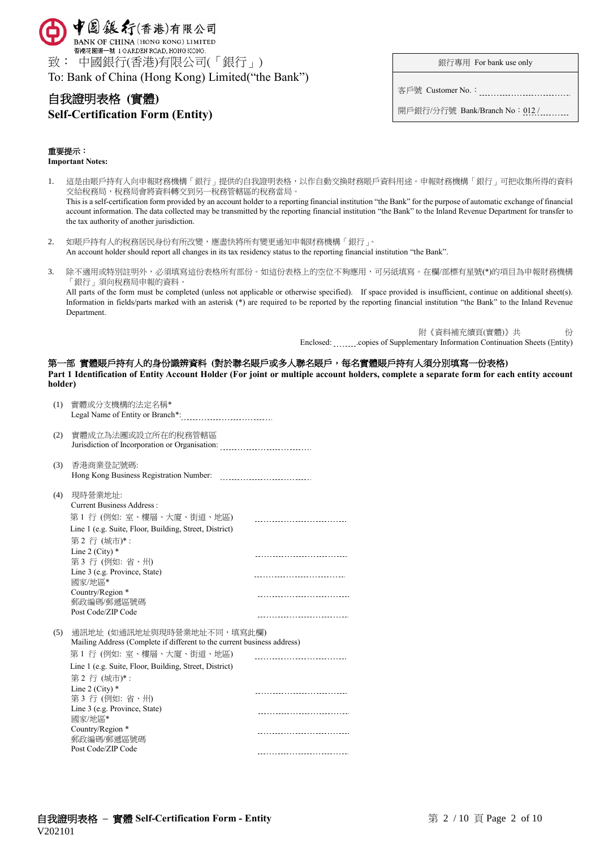

# 自我證明表格 **(**實體**)**

# **Self-Certification Form (Entity)**

銀行專用 For bank use only

客戶號 Customer No.:

開戶銀行/分行號 Bank/Branch No: 012 / .........

# 重要提示:

**Important Notes:**

- 1. 這是由賬戶持有人向申報財務機構「銀行」提供的自我證明表格,以作自動交換財務賬戶資料用途。申報財務機構「銀行」可把收集所得的資料 交給稅務局,稅務局會將資料轉交到另一稅務管轄區的稅務當局。 This is a self-certification form provided by an account holder to a reporting financial institution "the Bank" for the purpose of automatic exchange of financial account information. The data collected may be transmitted by the reporting financial institution "the Bank" to the Inland Revenue Department for transfer to the tax authority of another jurisdiction.
- 2. 如賬戶持有人的稅務居民身份有所改變,應盡快將所有變更通知申報財務機構「銀行」。 An account holder should report all changes in its tax residency status to the reporting financial institution "the Bank".
- 3. 除不適用或特別註明外,必須填寫這份表格所有部份。如這份表格上的空位不夠應用,可另紙填寫。在欄/部標有星號(\*)的項目為申報財務機構 「銀行」須向稅務局申報的資料。

All parts of the form must be completed (unless not applicable or otherwise specified). If space provided is insufficient, continue on additional sheet(s). Information in fields/parts marked with an asterisk (\*) are required to be reported by the reporting financial institution "the Bank" to the Inland Revenue Department.

> 附《資料補充續頁(實體)》共 份 Enclosed: .copies of Supplementary Information Continuation Sheets (Entity)

## 第一部 實體賬戶持有人的身份識辨資料 **(**對於聯名賬戶或多人聯名賬戶,每名實體賬戶持有人須分別填寫一份表格**)**

**Part 1 Identification of Entity Account Holder (For joint or multiple account holders, complete a separate form for each entity account holder)** 

| (1) | 實體或分支機構的法定名稱*                                                                                                                                 |                                   |
|-----|-----------------------------------------------------------------------------------------------------------------------------------------------|-----------------------------------|
| (2) | 實體成立為法團或設立所在的稅務管轄區<br>Jurisdiction of Incorporation or Organisation:                                                                          |                                   |
| (3) | 香港商業登記號碼:<br>Hong Kong Business Registration Number:                                                                                          |                                   |
| (4) | 現時營業地址:<br><b>Current Business Address:</b><br>第1行 (例如: 室、樓層、大廈、街道、地區)<br>Line 1 (e.g. Suite, Floor, Building, Street, District)<br>第2行(城市)*: | --------------------------        |
|     | Line 2 (City) $*$<br>第3行 (例如: 省、州)                                                                                                            |                                   |
|     | Line 3 (e.g. Province, State)<br>國家/地區*                                                                                                       | ----------------------            |
|     | Country/Region *<br>郵政編碼/郵遞區號碼<br>Post Code/ZIP Code                                                                                          |                                   |
| (5) | 通訊地址 (如通訊地址與現時營業地址不同,填寫此欄)<br>Mailing Address (Complete if different to the current business address)                                         |                                   |
|     | 第 1 行 (例如: 室、樓層、大廈、街道、地區)<br>Line 1 (e.g. Suite, Floor, Building, Street, District)<br>第2行(城市)*:                                              | ------------------------------    |
|     | Line 2 (City) $*$<br>第3行(例如:省、州)                                                                                                              | ----------------------------      |
|     | Line 3 (e.g. Province, State)<br>國家/地區*                                                                                                       |                                   |
|     | Country/Region *<br>郵政編碼/郵遞區號碼<br>Post Code/ZIP Code                                                                                          |                                   |
|     |                                                                                                                                               | --------------------------------- |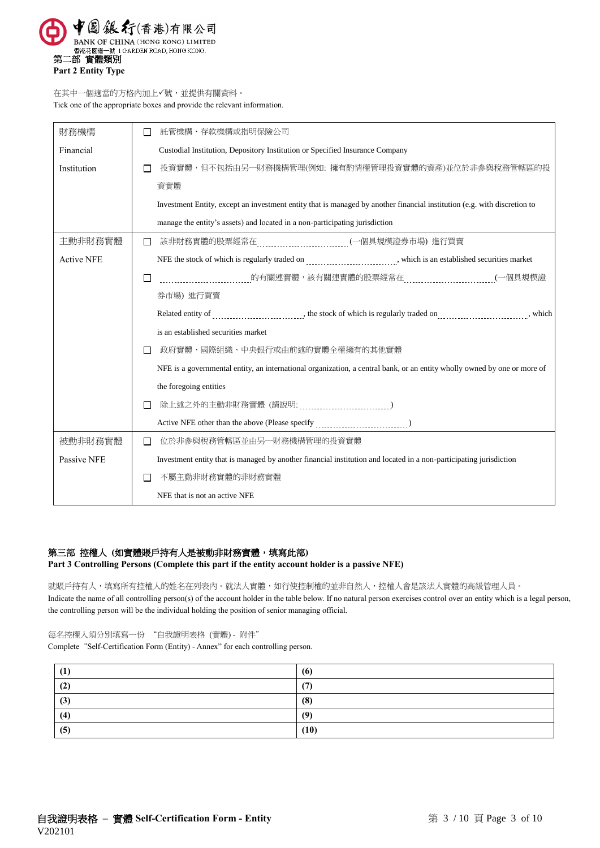

在其中一個適當的方格內加上√號,並提供有關資料。 Tick one of the appropriate boxes and provide the relevant information.

| 財務機構              | 託管機構、存款機構或指明保險公司                                                                                                         |  |  |
|-------------------|--------------------------------------------------------------------------------------------------------------------------|--|--|
| Financial         | Custodial Institution, Depository Institution or Specified Insurance Company                                             |  |  |
| Institution       | 投資實體,但不包括由另一財務機構管理(例如: 擁有酌情權管理投資實體的資產)並位於非參與稅務管轄區的投                                                                      |  |  |
|                   | 資實體                                                                                                                      |  |  |
|                   | Investment Entity, except an investment entity that is managed by another financial institution (e.g. with discretion to |  |  |
|                   | manage the entity's assets) and located in a non-participating jurisdiction                                              |  |  |
| 主動非財務實體           | $\mathsf{L}$                                                                                                             |  |  |
| <b>Active NFE</b> |                                                                                                                          |  |  |
|                   | ______的有關連實體,該有關連實體的股票經常在___________________________(一個具規模證<br>□                                                         |  |  |
|                   | 券市場) 進行買賣                                                                                                                |  |  |
|                   |                                                                                                                          |  |  |
|                   | is an established securities market                                                                                      |  |  |
|                   | 政府實體、國際組織、中央銀行或由前述的實體全權擁有的其他實體<br>$\Box$                                                                                 |  |  |
|                   | NFE is a governmental entity, an international organization, a central bank, or an entity wholly owned by one or more of |  |  |
|                   | the foregoing entities                                                                                                   |  |  |
|                   |                                                                                                                          |  |  |
|                   |                                                                                                                          |  |  |
| 被動非財務實體           | 位於非參與稅務管轄區並由另一財務機構管理的投資實體<br>П                                                                                           |  |  |
| Passive NFE       | Investment entity that is managed by another financial institution and located in a non-participating jurisdiction       |  |  |
|                   | 不屬主動非財務實體的非財務實體                                                                                                          |  |  |
|                   | NFE that is not an active NFE                                                                                            |  |  |

# 第三部 控權人 (如實體賬戶持有人是被動非財務實體,填寫此部)

**Part 3 Controlling Persons (Complete this part if the entity account holder is a passive NFE)**

就賬戶持有人,填寫所有控權人的姓名在列表內。就法人實體,如行使控制權的並非自然人,控權人會是該法人實體的高級管理人員。 Indicate the name of all controlling person(s) of the account holder in the table below. If no natural person exercises control over an entity which is a legal person, the controlling person will be the individual holding the position of senior managing official.

每名控權人須分別填寫一份 "自我證明表格 (實體) - 附件" Complete"Self-Certification Form (Entity) - Annex" for each controlling person.

| <b>(1)</b> | (6)  |
|------------|------|
| (2)        | (7)  |
| (3)        | (8)  |
| (4)        | (9)  |
| (5)        | (10) |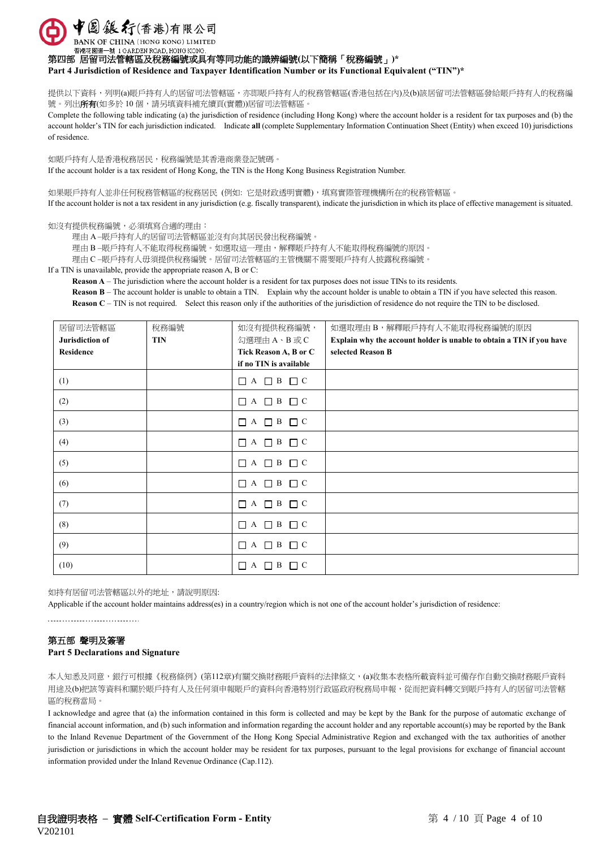中国銀行(香港)有限公司 BANK OF CHINA (HONG KONG) LIMITED

香港花園道一號 1 GARDEN ROAD, HONG KONG

第四部 居留司法管轄區及稅務編號或具有等同功能的識辨編號**(**以下簡稱「稅務編號」**)\***

**Part 4 Jurisdiction of Residence and Taxpayer Identification Number or its Functional Equivalent ("TIN")\***

提供以下資料,列明(a)賬戶持有人的居留司法管轄區,亦即賬戶持有人的稅務管轄區(香港包括在內)及(b)該居留司法管轄區發給賬戶持有人的稅務編 號。列出所有(如多於 10個,請另填資料補充續頁(實體))居留司法管轄區。

Complete the following table indicating (a) the jurisdiction of residence (including Hong Kong) where the account holder is a resident for tax purposes and (b) the account holder's TIN for each jurisdiction indicated. Indicate **all** (complete Supplementary Information Continuation Sheet (Entity) when exceed 10) jurisdictions of residence.

如賬戶持有人是香港稅務居民,稅務編號是其香港商業登記號碼。 If the account holder is a tax resident of Hong Kong, the TIN is the Hong Kong Business Registration Number.

如果賬戶持有人並非任何稅務管轄區的稅務居民 (例如: 它是財政透明實體),填寫實際管理機構所在的稅務管轄區。 If the account holder is not a tax resident in any jurisdiction (e.g. fiscally transparent), indicate the jurisdiction in which its place of effective management is situated.

#### 如沒有提供稅務編號,必須填寫合適的理由:

理由 A –賬戶持有人的居留司法管轄區並沒有向其居民發出稅務編號。

理由 B –賬戶持有人不能取得稅務編號。如選取這一理由,解釋賬戶持有人不能取得稅務編號的原因。

理由 C –賬戶持有人毋須提供稅務編號。居留司法管轄區的主管機關不需要賬戶持有人披露稅務編號。

#### If a TIN is unavailable, provide the appropriate reason A, B or C:

**Reason A** – The jurisdiction where the account holder is a resident for tax purposes does not issue TINs to its residents.

**Reason B** – The account holder is unable to obtain a TIN. Explain why the account holder is unable to obtain a TIN if you have selected this reason. **Reason C** – TIN is not required. Select this reason only if the authorities of the jurisdiction of residence do not require the TIN to be disclosed.

| 居留司法管轄區<br>Jurisdiction of | 稅務編號<br><b>TIN</b> | 如沒有提供稅務編號,<br>勾選理由A、B或C                         | 如選取理由 B,解釋賬戶持有人不能取得稅務編號的原因<br>Explain why the account holder is unable to obtain a TIN if you have |
|----------------------------|--------------------|-------------------------------------------------|----------------------------------------------------------------------------------------------------|
| <b>Residence</b>           |                    | Tick Reason A, B or C<br>if no TIN is available | selected Reason B                                                                                  |
| (1)                        |                    | $\Box$ A $\Box$ B $\Box$ C                      |                                                                                                    |
| (2)                        |                    | $\Box A \Box B \Box C$                          |                                                                                                    |
| (3)                        |                    |                                                 |                                                                                                    |
| (4)                        |                    |                                                 |                                                                                                    |
| (5)                        |                    | $\Box A \Box B \Box C$                          |                                                                                                    |
| (6)                        |                    | $\Box$ A $\Box$ B $\Box$ C                      |                                                                                                    |
| (7)                        |                    | $\Box A \Box B \Box C$                          |                                                                                                    |
| (8)                        |                    | $\Box A \Box B \Box C$                          |                                                                                                    |
| (9)                        |                    | $\Box$ A $\Box$ B $\Box$ C                      |                                                                                                    |
| (10)                       |                    | $\Box$ A $\Box$ B<br>$\Box$ C                   |                                                                                                    |

如持有居留司法管轄區以外的地址,請說明原因:

Applicable if the account holder maintains address(es) in a country/region which is not one of the account holder's jurisdiction of residence:

-------------------------------

## 第五部 聲明及簽署

## **Part 5 Declarations and Signature**

本人知悉及同意,銀行可根據《稅務條例》(第112章)有關交換財務賬戶資料的法律條文,(a)收集本表格所載資料並可備存作自動交換財務賬戶資料 用途及(b)把該等資料和關於賬戶持有人及任何須申報賬戶的資料向香港特別行政區政府稅務局申報,從而把資料轉交到賬戶持有人的居留司法管轄 區的稅務當局。

I acknowledge and agree that (a) the information contained in this form is collected and may be kept by the Bank for the purpose of automatic exchange of financial account information, and (b) such information and information regarding the account holder and any reportable account(s) may be reported by the Bank to the Inland Revenue Department of the Government of the Hong Kong Special Administrative Region and exchanged with the tax authorities of another jurisdiction or jurisdictions in which the account holder may be resident for tax purposes, pursuant to the legal provisions for exchange of financial account information provided under the Inland Revenue Ordinance (Cap.112).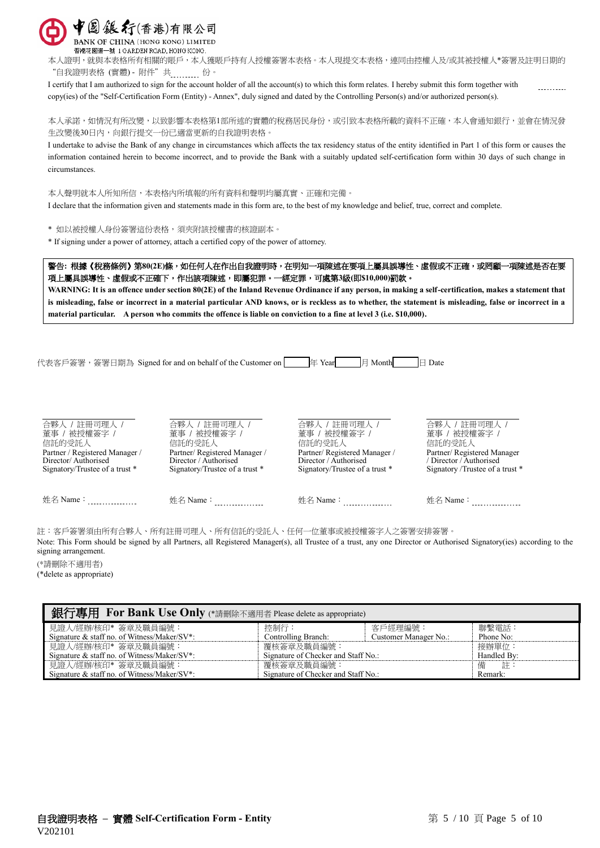

BANK OF CHINA (HONG KONG) LIMITED 香港花園道一號 1 GARDEN ROAD, HONG KONG.

本人證明,就與本表格所有相關的賬戶,本人獲賬戶持有人授權簽署本表格。本人現提交本表格,連同由控權人及/或其被授權人\*簽署及註明日期的 "自我證明表格 (實體) - 附件"共 ......... 份。

I certify that I am authorized to sign for the account holder of all the account(s) to which this form relates. I hereby submit this form together with copy(ies) of the "Self-Certification Form (Entity) - Annex", duly signed and dated by the Controlling Person(s) and/or authorized person(s).

本人承諾,如情況有所改變,以致影響本表格第1部所述的實體的稅務居民身份,或引致本表格所載的資料不正確,本人會通知銀行,並會在情況發 生改變後30日內,向銀行提交一份已適當更新的自我證明表格。

I undertake to advise the Bank of any change in circumstances which affects the tax residency status of the entity identified in Part 1 of this form or causes the information contained herein to become incorrect, and to provide the Bank with a suitably updated self-certification form within 30 days of such change in circumstances.

本人聲明就本人所知所信,本表格內所填報的所有資料和聲明均屬真實、正確和完備。 I declare that the information given and statements made in this form are, to the best of my knowledge and belief, true, correct and complete.

\* 如以被授權人身份簽署這份表格,須夾附該授權書的核證副本。

\* If signing under a power of attorney, attach a certified copy of the power of attorney.

警告**:** 根據《稅務條例》第**80(2E)**條,如任何人在作出自我證明時,在明知一項陳述在要項上屬具誤導性、虛假或不正確,或罔顧一項陳述是否在要 項上屬具誤導性、虛假或不正確下,作出該項陳述,即屬犯罪。一經定罪,可處第**3**級**(**即**\$10,000)**罰款。

**WARNING: It is an offence under section 80(2E) of the Inland Revenue Ordinance if any person, in making a self-certification, makes a statement that is misleading, false or incorrect in a material particular AND knows, or is reckless as to whether, the statement is misleading, false or incorrect in a material particular. A person who commits the offence is liable on conviction to a fine at level 3 (i.e. \$10,000).**

代表客戶簽署, 簽署日期為 Signed for and on behalf of the Customer on  $\boxed{ }$  of Year  $\boxed{ }$  Month  $\boxed{ }$  Date

| 合夥人 / 註冊司理人 /                  | 合夥人 / 註冊司理人 /                  | 合夥人 / 註冊司理人 /                  | 合夥人 / 註冊司理人 /                   |
|--------------------------------|--------------------------------|--------------------------------|---------------------------------|
| 董事 / 被授權簽字 /                   | 董事 / 被授權簽字 /                   | 董事 / 被授權簽字 /                   | 董事 / 被授權簽字 /                    |
| 信託的受託人                         | 信託的受託人                         | 信託的受託人                         | 信託的受託人                          |
| Partner / Registered Manager / | Partner/Registered Manager /   | Partner/Registered Manager/    | Partner/Registered Manager      |
| Director/Authorised            | Director / Authorised          | Director / Authorised          | / Director / Authorised         |
| Signatory/Trustee of a trust * | Signatory/Trustee of a trust * | Signatory/Trustee of a trust * | Signatory /Trustee of a trust * |
| 姓名 Name∶                       | 姓名 Name∶                       | 姓名 Name∶                       | 姓名 Name∶                        |

註:客戶簽署須由所有合夥人、所有註冊司理人、所有信託的受託人、任何一位董事或被授權簽字人之簽署安排簽署。 Note: This Form should be signed by all Partners, all Registered Manager(s), all Trustee of a trust, any one Director or Authorised Signatory(ies) according to the

signing arrangement.

(\*請刪除不適用者)

(\*delete as appropriate)

| 銀行專用 For Bank Use Only (*請刪除不適用者 Please delete as appropriate) |                                     |                       |             |  |
|----------------------------------------------------------------|-------------------------------------|-----------------------|-------------|--|
| 見證人/經辦/核印* 簽章及職員編號:                                            | 控制行:                                | 客戶經理編號:               | 聯繫電話:       |  |
| Signature & staff no. of Witness/Maker/SV*:                    | Controlling Branch:                 | Customer Manager No.: | Phone No:   |  |
| 見證人/經辦/核印* 簽章及職員編號:                                            | 覆核簽章及職員編號:                          |                       | 接辦單位:       |  |
| Signature & staff no. of Witness/Maker/SV*:                    | Signature of Checker and Staff No.: |                       | Handled By: |  |
| 見證人/經辦/核印* 簽章及職員編號:                                            | 覆核簽章及職員編號:                          |                       | 言 詳:<br>備   |  |
| Signature & staff no. of Witness/Maker/SV*:                    | Signature of Checker and Staff No.: |                       | Remark:     |  |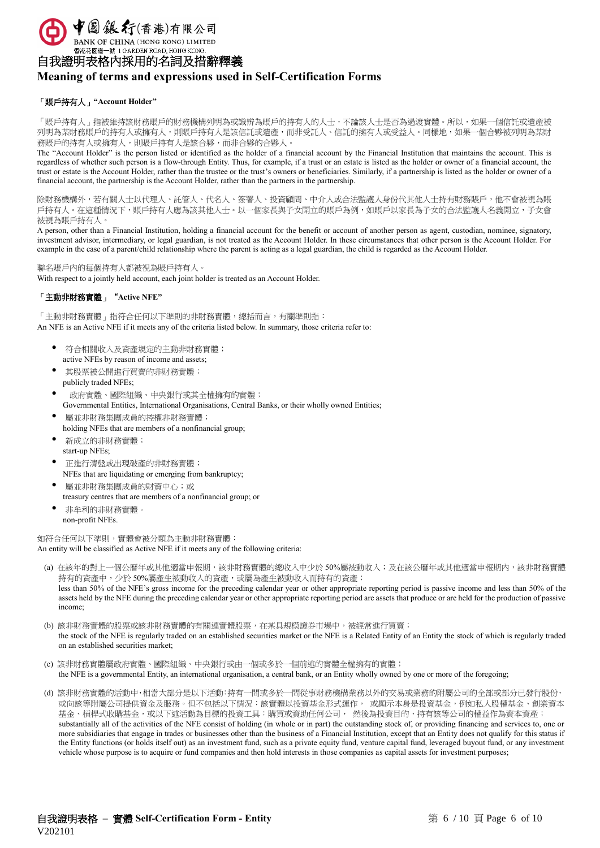

香港花園道一號 1 GARDEN ROAD, HONG KONG.

自我證明表格內採用的名詞及措辭釋義

# **Meaning of terms and expressions used in Self-Certification Forms**

## 「賬戶持有人」**"Account Holder"**

「賬戶持有人」指被維持該財務用戶的財務機構列明為或識辨為賬戶的持有人的人士,不論該人士是否為過渡實體。所以,如果一個信託或遺產被 列明為某財務賬戶的持有人或擁有人,則賬戶持人是該信託或遺產,而非受託人、信託的擁有人或受益人。同樣地,如果一個合夥被列明為某財 務賬戶的持有人或擁有人,則賬戶持有人是該合夥,而非合夥的合夥人。

The "Account Holder" is the person listed or identified as the holder of a financial account by the Financial Institution that maintains the account. This is regardless of whether such person is a flow-through Entity. Thus, for example, if a trust or an estate is listed as the holder or owner of a financial account, the trust or estate is the Account Holder, rather than the trustee or the trust's owners or beneficiaries. Similarly, if a partnership is listed as the holder or owner of a financial account, the partnership is the Account Holder, rather than the partners in the partnership.

除財務機構外,若有關人士以代理人、託管人、代名人、簽署人、投資顧問、中介人或合法監護人身份代其他人士持有財務賬戶,他不會被視為賬 戶持有人。在這種情況下,賬戶持有人應為該其他人士。以一個家長與子女開立的賬戶為例,如賬戶以家長為子女的合法監護人名義開立,子女會 被視為賬戶持有人。

A person, other than a Financial Institution, holding a financial account for the benefit or account of another person as agent, custodian, nominee, signatory, investment advisor, intermediary, or legal guardian, is not treated as the Account Holder. In these circumstances that other person is the Account Holder. For example in the case of a parent/child relationship where the parent is acting as a legal guardian, the child is regarded as the Account Holder.

聯名賬戶內的每個持有人都被視為賬戶持有人。

With respect to a jointly held account, each joint holder is treated as an Account Holder.

# 「主動非財務實體」"**Active NFE"**

「主動非財務實體」指符合任何以下準則的非財務實體,總括而言,有關準則指: An NFE is an Active NFE if it meets any of the criteria listed below. In summary, those criteria refer to:

- 符合相關收入及資產規定的主動非財務實體; active NFEs by reason of income and assets;
- 其股票被公開進行買賣的非財務實體; publicly traded NFEs;
- 政府實體、國際組織、中央銀行或其全權擁有的實體;
- Governmental Entities, International Organisations, Central Banks, or their wholly owned Entities;
- 屬並非財務集團成員的控權非財務實體; holding NFEs that are members of a nonfinancial group;
- 新成立的非財務實體; start-up NFEs;
- 正進行清盤或出現破產的非財務實體; NFEs that are liquidating or emerging from bankruptcy;
- 屬並非財務集團成員的財資中心;或 treasury centres that are members of a nonfinancial group; or
- 非牟利的非財務實體。 non-profit NFEs.

如符合任何以下準則,實體會被分類為主動非財務實體: An entity will be classified as Active NFE if it meets any of the following criteria:

- (a) 在該年的對上一個公曆年或其他適當申報期,該非財務實體的總收入中少於 50%屬被動收入;及在該公曆年或其他適當申報期內,該非財務實體 持有的資產中,少於50%屬產生被動收入的資產,或屬為產生被動收入而持有的資產; less than 50% of the NFE's gross income for the preceding calendar year or other appropriate reporting period is passive income and less than 50% of the assets held by the NFE during the preceding calendar year or other appropriate reporting period are assets that produce or are held for the production of passive income;
- (b) 該非財務實體的股票或該非財務實體的有關連實體股票,在某具規模證券市場中,被經常進行買賣; the stock of the NFE is regularly traded on an established securities market or the NFE is a Related Entity of an Entity the stock of which is regularly traded on an established securities market;
- (c) 該非財務實體屬政府實體、國際組織、中央銀行或由一個或多於一個前述的實體全權擁有的實體; the NFE is a governmental Entity, an international organisation, a central bank, or an Entity wholly owned by one or more of the foregoing;
- (d) 該非財務實體的活動中,相當大部分是以下活動:持有一間或多於一間從事財務機構業務以外的交易或業務的附屬公司的全部或部分已發行股份, 或向該等附屬公司提供資金及服務。但不包括以下情況:該實體以投資基金形式運作, 或顯示本身是投資基金,例如私人股權基金、創業資本 基金、槓桿式收購基金,或以下述活動為目標的投資工具:購買或資助任何公司, 然後為投資目的,持有該等公司的權益作為資本資產; substantially all of the activities of the NFE consist of holding (in whole or in part) the outstanding stock of, or providing financing and services to, one or more subsidiaries that engage in trades or businesses other than the business of a Financial Institution, except that an Entity does not qualify for this status if the Entity functions (or holds itself out) as an investment fund, such as a private equity fund, venture capital fund, leveraged buyout fund, or any investment vehicle whose purpose is to acquire or fund companies and then hold interests in those companies as capital assets for investment purposes;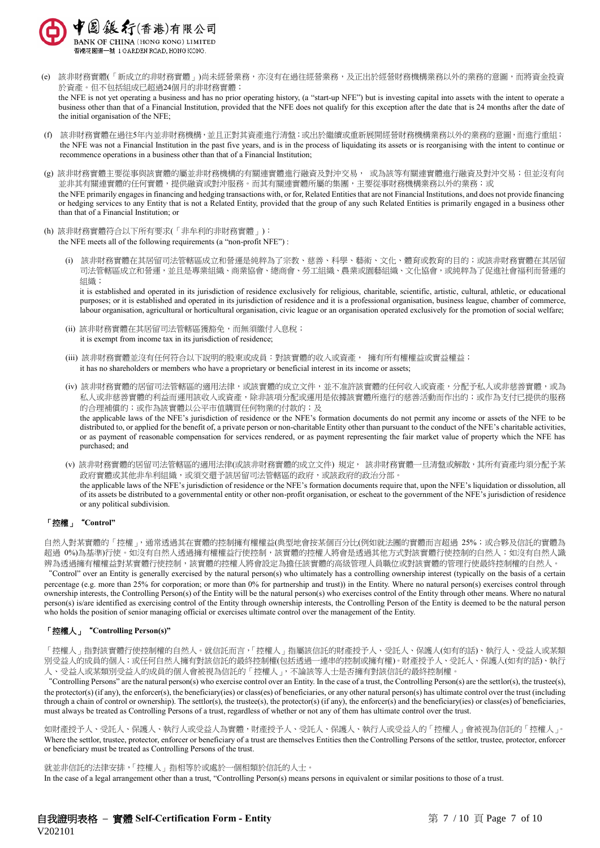

- (e) 該非財務實體(「新成立的非財務實體」)尚未經營業務,亦沒有在過往經營業務,及正出於經營財務機構業務以外的業務的意圖,而將資金投資 於資產。但不包括組成已超過24個月的非財務實體; the NFE is not yet operating a business and has no prior operating history, (a "start-up NFE") but is investing capital into assets with the intent to operate a business other than that of a Financial Institution, provided that the NFE does not qualify for this exception after the date that is 24 months after the date of the initial organisation of the NFE;
- (f) 該非財務實體在過往5年內並非財務機構,並且正對其資產進行清盤;或出於繼續或重新展開經營財務機構業務以外的業務的意圖,而進行重組; the NFE was not a Financial Institution in the past five years, and is in the process of liquidating its assets or is reorganising with the intent to continue or recommence operations in a business other than that of a Financial Institution;
- (g) 該非財務實體主要從事與該實體的屬並非財務機構的有關連實體進行融資及對沖交易, 或為該等有關連實體進行融資及對沖交易;但並沒有向 並非其有關連實體的任何實體,提供融資或對沖服務。而其有關連實體所屬的集團,主要從事財務機構業務以外的業務;或 the NFE primarily engages in financing and hedging transactions with, or for, Related Entities that are not Financial Institutions, and does not provide financing or hedging services to any Entity that is not a Related Entity, provided that the group of any such Related Entities is primarily engaged in a business other than that of a Financial Institution; or
- (h) 該非財務實體符合以下所有要求(「非牟利的非財務實體」): the NFE meets all of the following requirements (a "non-profit NFE") :
	- (i) 該非財務實體在其居留司法管轄區成立和營運是純粹為了宗教、慈善、科學、藝術、文化、體育或教育的目的;或該非財務實體在其居留 司法管轄區成立和營運,並且是專業組織、商業協會、總商會、勞工組織、農業或園藝組織、文化協會,或純粹為了促進社會福利而營運的 組織;

it is established and operated in its jurisdiction of residence exclusively for religious, charitable, scientific, artistic, cultural, athletic, or educational purposes; or it is established and operated in its jurisdiction of residence and it is a professional organisation, business league, chamber of commerce, labour organisation, agricultural or horticultural organisation, civic league or an organisation operated exclusively for the promotion of social welfare;

- (ii) 該非財務實體在其居留司法管轄區獲豁免,而無須繳付入息稅; it is exempt from income tax in its jurisdiction of residence;
- (iii) 該非財務實體並沒有任何符合以下說明的股東或成員︰對該實體的收入或資產, 擁有所有權權益或實益權益; it has no shareholders or members who have a proprietary or beneficial interest in its income or assets;
- (iv) 該非財務實體的居留司法管轄區的適用法律,或該實體的成立文件,並不准許該實體的任何收入或資產,分配予私人或非慈善實體,或為 私人或非慈善實體的利益而運用該收入或資產,除非該項分配或運用是依據該實體所進行的慈善活動而作出的;或作為支付已提供的服務 的合理補償的;或作為該實體以公平市值購買任何物業的付款的;及 the applicable laws of the NFE's jurisdiction of residence or the NFE's formation documents do not permit any income or assets of the NFE to be distributed to, or applied for the benefit of, a private person or non-charitable Entity other than pursuant to the conduct of the NFE's charitable activities, or as payment of reasonable compensation for services rendered, or as payment representing the fair market value of property which the NFE has purchased; and
- (v) 該非財務實體的居留司法管轄區的適用法律(或該非財務實體的成立文件) 規定, 該非財務實體一旦清盤或解散,其所有資產均須分配予某 政府實體或其他非牟利組織,或須交還予該居留司法管轄區的政府,或該政府的政治分部。 the applicable laws of the NFE's jurisdiction of residence or the NFE's formation documents require that, upon the NFE's liquidation or dissolution, all of its assets be distributed to a governmental entity or other non-profit organisation, or escheat to the government of the NFE's jurisdiction of residence or any political subdivision.

## 「控權」"**Control"**

自然人對某實體的「控權」,通常透過其在實體的控制擁有權權益(典型地會按某個百分比(例如就法團的實體而言超過 25%;或合夥及信託的實體為 超過 0%)為基準)行使。如沒有自然人透過擁有權權益行使控制,該實體的控權人將會是透過其他方式對該實體行使控制的自然人;如沒有自然人識 辨為透過擁有權權益對某實體行使控制,該實體的控權人將會設定為擔任該實體的高級管理人員職位或對該實體的管理行使最終控制權的自然人。

"Control" over an Entity is generally exercised by the natural person(s) who ultimately has a controlling ownership interest (typically on the basis of a certain percentage (e.g. more than 25% for corporation; or more than 0% for partnership and trust)) in the Entity. Where no natural person(s) exercises control through ownership interests, the Controlling Person(s) of the Entity will be the natural person(s) who exercises control of the Entity through other means. Where no natural person(s) is/are identified as exercising control of the Entity through ownership interests, the Controlling Person of the Entity is deemed to be the natural person who holds the position of senior managing official or exercises ultimate control over the management of the Entity.

## 「控權人」"**Controlling Person(s)"**

「控權人」指對該實體行使控制權的自然人。就信託而言,「控權人」指屬該信託的財產授予人、受託人、保護人(如有的話)、執行人、受益人或某類 別受益人的成員的個人;或任何自然人擁有對該信託的最終控制權(包括透過一連串的控制或擁有權)。財產授予人、受託人、保護人(如有的話)、執行 人、受益人或某類別受益人的成員的個人會被視為信託的「控權人」,不論該等人士是否擁有對該信託的最終控制權。

"Controlling Persons" are the natural person(s) who exercise control over an Entity. In the case of a trust, the Controlling Person(s) are the settlor(s), the trustee(s), the protector(s) (if any), the enforcer(s), the beneficiary(ies) or class(es) of beneficiaries, or any other natural person(s) has ultimate control over the trust (including through a chain of control or ownership). The settlor(s), the trustee(s), the protector(s) (if any), the enforcer(s) and the beneficiary(ies) or class(es) of beneficiaries. must always be treated as Controlling Persons of a trust, regardless of whether or not any of them has ultimate control over the trust.

如財產授予人、受託人、保護人、執行人或受益人為實體,財產授予人、受託人、保護人、執行人或受益人的「控權人」會被視為信託的「控權人」。 Where the settlor, trustee, protector, enforcer or beneficiary of a trust are themselves Entities then the Controlling Persons of the settlor, trustee, protector, enforcer or beneficiary must be treated as Controlling Persons of the trust.

就並非信託的法律安排,「控權人」指相等於或處於一個相類於信託的人士。 In the case of a legal arrangement other than a trust, "Controlling Person(s) means persons in equivalent or similar positions to those of a trust.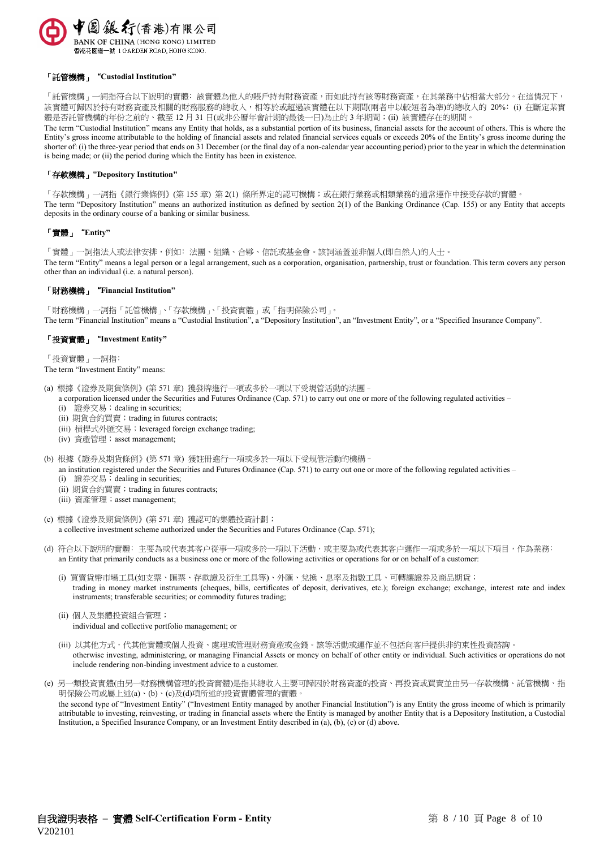

#### 「託管機構」"**Custodial Institution"**

「託管機構」一詞指符合以下說明的實體:該實體為他人的賬戶持有財務資產,而如此持有該等財務資產,在其業務中佔相當大部分。在這情況下, 該實體可歸因於持有財務資產及相關的財務服務的總收入,相等於或超過該實體在以下期間(兩者中以較短者為準)的總收入的 20%: (i) 在斷定某實 體是否託管機構的年份之前的、截至 12 月 31 日(或非公曆年會計期的最後一日)為止的 3 年期間;(ii) 該實體存在的期間。

The term "Custodial Institution" means any Entity that holds, as a substantial portion of its business, financial assets for the account of others. This is where the Entity's gross income attributable to the holding of financial assets and related financial services equals or exceeds 20% of the Entity's gross income during the shorter of: (i) the three-year period that ends on 31 December (or the final day of a non-calendar year accounting period) prior to the year in which the determination is being made; or (ii) the period during which the Entity has been in existence.

#### 「存款機構」**"Depository Institution"**

「存款機構」一詞指《銀行業條例》(第155章) 第 2(1) 條所界定的認可機構;或在銀行業務或相類業務的通常運作中接受存款的實體。 The term "Depository Institution" means an authorized institution as defined by section 2(1) of the Banking Ordinance (Cap. 155) or any Entity that accepts deposits in the ordinary course of a banking or similar business.

#### 「實體」"**Entity"**

「實體」一詞指法人或法律安排,例如:法團、組織、合夥、信託或基金會。該詞涵蓋並非個人(即自然人)的人士。 The term "Entity" means a legal person or a legal arrangement, such as a corporation, organisation, partnership, trust or foundation. This term covers any person other than an individual (i.e. a natural person).

#### 「財務機構」"**Financial Institution"**

「財務機構」一詞指「託管機構」、「存款機構」、「投資實體」或「指明保險公司」。 The term "Financial Institution" means a "Custodial Institution", a "Depository Institution", an "Investment Entity", or a "Specified Insurance Company".

## 「投資實體」"**Investment Entity"**

「投資實體」一詞指﹕

#### The term "Investment Entity" means:

- (a) 根據《證券及期貨條例》(第 571 章) 獲發牌進行一項或多於一項以下受規管活動的法團–
- a corporation licensed under the Securities and Futures Ordinance (Cap. 571) to carry out one or more of the following regulated activities
	- (i) 證券交易;dealing in securities;
	- (ii) 期貨合約買賣; trading in futures contracts;
	- (iii) 槓桿式外匯交易;leveraged foreign exchange trading;
	- (iv) 資產管理;asset management;
- (b) 根據《證券及期貨條例》(第 571 章) 獲註冊進行一項或多於一項以下受規管活動的機構–
- an institution registered under the Securities and Futures Ordinance (Cap. 571) to carry out one or more of the following regulated activities
	- (i) 證券交易;dealing in securities;
	- (ii) 期貨合約買賣; trading in futures contracts;
	- (iii) 資產管理;asset management;
- (c) 根據《證券及期貨條例》(第 571 章) 獲認可的集體投資計劃; a collective investment scheme authorized under the Securities and Futures Ordinance (Cap. 571);
- (d) 符合以下說明的實體: 主要為或代表其客户從事一項或多於一項以下活動,或主要為或代表其客户運作一項或多於一項以下項目, 作為業務: an Entity that primarily conducts as a business one or more of the following activities or operations for or on behalf of a customer:
	- (i) 買賣貨幣市場工具(如支票、匯票、存款證及衍生工具等)、外匯、兌換、息率及指數工具、可轉讓證券及商品期貨; trading in money market instruments (cheques, bills, certificates of deposit, derivatives, etc.); foreign exchange; exchange, interest rate and index instruments; transferable securities; or commodity futures trading;
	- (ii) 個人及集體投資組合管理; individual and collective portfolio management; or
	- (iii) 以其他方式,代其他實體或個人投資、處理或管理財務資產或金錢。該等活動或運作並不包括向客戶提供非約束性投資諮詢。 otherwise investing, administering, or managing Financial Assets or money on behalf of other entity or individual. Such activities or operations do not include rendering non-binding investment advice to a customer.
- (e) 另一類投資實體(由另一財務機構管理的投資實體)是指其總收入主要可歸因於財務資產的投資、再投資或買賣並由另一存款機構、託管機構、指 明保險公司或屬上述(a)、(b)、(c)及(d)項所述的投資實體管理的實體。 the second type of "Investment Entity" ("Investment Entity managed by another Financial Institution") is any Entity the gross income of which is primarily attributable to investing, reinvesting, or trading in financial assets where the Entity is managed by another Entity that is a Depository Institution, a Custodial Institution, a Specified Insurance Company, or an Investment Entity described in (a), (b), (c) or (d) above.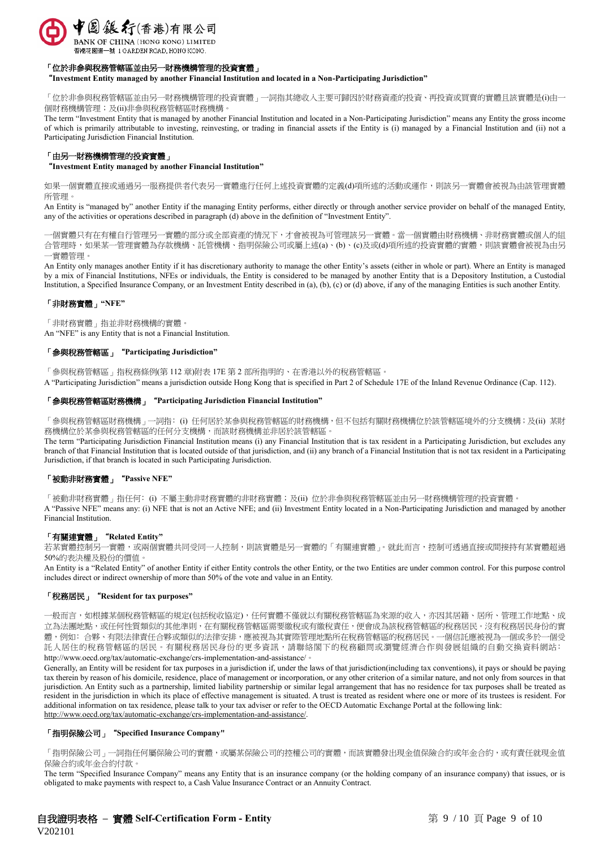

## 「位於非參與稅務管轄區並由另一財務機構管理的投資實體」

"**Investment Entity managed by another Financial Institution and located in a Non-Participating Jurisdiction"**

「位於非參與稅務管轄區並由另一財務機構管理的投資實體」一詞指其總收入主要可歸因於財務資產的投資、再投資或買賣的實體且該實體是(i)由一 個財務機構管理;及(ii)非參與稅務管轄區財務機構。

The term "Investment Entity that is managed by another Financial Institution and located in a Non-Participating Jurisdiction" means any Entity the gross income of which is primarily attributable to investing, reinvesting, or trading in financial assets if the Entity is (i) managed by a Financial Institution and (ii) not a Participating Jurisdiction Financial Institution.

#### 「由另一財務機構管理的投資實體」

"**Investment Entity managed by another Financial Institution"**

如果一個實體直接或通過另一服務提供者代表另一實體進行任何上述投資實體的定義(d)項所述的活動或運作,則該另一實體會被視為由該管理實體 所管理。

An Entity is "managed by" another Entity if the managing Entity performs, either directly or through another service provider on behalf of the managed Entity, any of the activities or operations described in paragraph (d) above in the definition of "Investment Entity".

一個實體只有在有權自行管理另一實體的部分或全部資產的情況下,才會被視為可管理該另一實體。當一個實體由財務機構、非財務實體或個人的組 合管理時,如果某一管理實體為存款機構、託管機構、指明保險公司或屬上述(a)、(b)、(c)及或(d)項所述的投資實體的實體,則該實體會被視為由另 一實體管理。

An Entity only manages another Entity if it has discretionary authority to manage the other Entity's assets (either in whole or part). Where an Entity is managed by a mix of Financial Institutions, NFEs or individuals, the Entity is considered to be managed by another Entity that is a Depository Institution, a Custodial Institution, a Specified Insurance Company, or an Investment Entity described in (a), (b), (c) or (d) above, if any of the managing Entities is such another Entity.

## 「非財務實體」**"NFE"**

「非財務實體」指並非財務機構的實體。

An "NFE" is any Entity that is not a Financial Institution.

#### 「參與稅務管轄區」"**Participating Jurisdiction"**

「參與稅務管轄區」指稅務條例(第 112 章)附表 17E 第 2 部所指明的、在香港以外的稅務管轄區。

A "Participating Jurisdiction" means a jurisdiction outside Hong Kong that is specified in Part 2 of Schedule 17E of the Inland Revenue Ordinance (Cap. 112).

#### 「參與稅務管轄區財務機構」"**Participating Jurisdiction Financial Institution"**

「參與稅務管轄區財務機構」一詞指: (i) 任何居於某參與稅務管轄區的財務機構,但不包括有關財務機構位於該管轄區境外的分支機構;及(ii) 某財 務機構位於某參與稅務管轄區的任何分支機構,而該財務機構並非居於該管轄區。

The term "Participating Jurisdiction Financial Institution means (i) any Financial Institution that is tax resident in a Participating Jurisdiction, but excludes any branch of that Financial Institution that is located outside of that jurisdiction, and (ii) any branch of a Financial Institution that is not tax resident in a Participating Jurisdiction, if that branch is located in such Participating Jurisdiction.

## 「被動非財務實體」"**Passive NFE"**

「被動非財務實體」指任何: (i) 不屬主動非財務實體的非財務實體;及(ii) 位於非參與稅務管轄區並由另一財務機構管理的投資實體。 A "Passive NFE" means any: (i) NFE that is not an Active NFE; and (ii) Investment Entity located in a Non-Participating Jurisdiction and managed by another Financial Institution.

#### 「有關連實體」"**Related Entity"**

若某實體控制另一實體,或兩個實體共同受同一人控制,則該實體是另一實體的「有關連實體」。就此而言,控制可透過直接或間接持有某實體超過 50%的表決權及股份的價值。

An Entity is a "Related Entity" of another Entity if either Entity controls the other Entity, or the two Entities are under common control. For this purpose control includes direct or indirect ownership of more than 50% of the vote and value in an Entity.

#### 「稅務居民」"**Resident for tax purposes"**

一般而言,如根據某個稅務管轄區的規定(包括稅收協定),任何實體不僅就以有關稅務管轄區為來源的收入,亦因其居籍、居所、管理工作地點、成 立為法團地點,或任何性質類似的其他準則,在有關稅務管轄區需要繳稅或有繳稅責任,便會成為該稅務管轄區的稅務居民。沒有稅務居民身份的實 體,例如:合夥、有限法律責任合夥或類似的法律安排,應被視為其實際管理地點所在稅務管轄區的稅務居民。一個信託應被視為一個或多於一個受 託人居住的稅務管轄區的居民。有關稅務居民身份的更多資訊,請聯絡閣下的稅務顧問或瀏覽經濟合作與發展組織的自動交換資料網站: http://www.oecd.org/tax/automatic-exchange/crs-implementation-and-assistance/。

Generally, an Entity will be resident for tax purposes in a jurisdiction if, under the laws of that jurisdiction(including tax conventions), it pays or should be paying tax therein by reason of his domicile, residence, place of management or incorporation, or any other criterion of a similar nature, and not only from sources in that jurisdiction. An Entity such as a partnership, limited liability partnership or similar legal arrangement that has no residence for tax purposes shall be treated as resident in the jurisdiction in which its place of effective management is situated. A trust is treated as resident where one or more of its trustees is resident. For additional information on tax residence, please talk to your tax adviser or refer to the OECD Automatic Exchange Portal at the following link: [http://www.oecd.org/tax/automatic-exchange/crs-implementation-and-assistance/.](http://www.oecd.org/tax/automatic-exchange/crs-implementation-and-assistance/)

#### 「指明保險公司」"**Specified Insurance Company"**

「指明保險公司」一詞指任何屬保險公司的實體,或屬某保險公司的控權公司的實體,而該實體發出現金值保險合約或年金合約,或有責任就現金值 保險合約或年金合約付款。

The term "Specified Insurance Company" means any Entity that is an insurance company (or the holding company of an insurance company) that issues, or is obligated to make payments with respect to, a Cash Value Insurance Contract or an Annuity Contract.

自我證明表格 – 實體 Self-Certification Form - Entity **Entity** 有 9 / 10 頁 Page 9 of 10 V202101